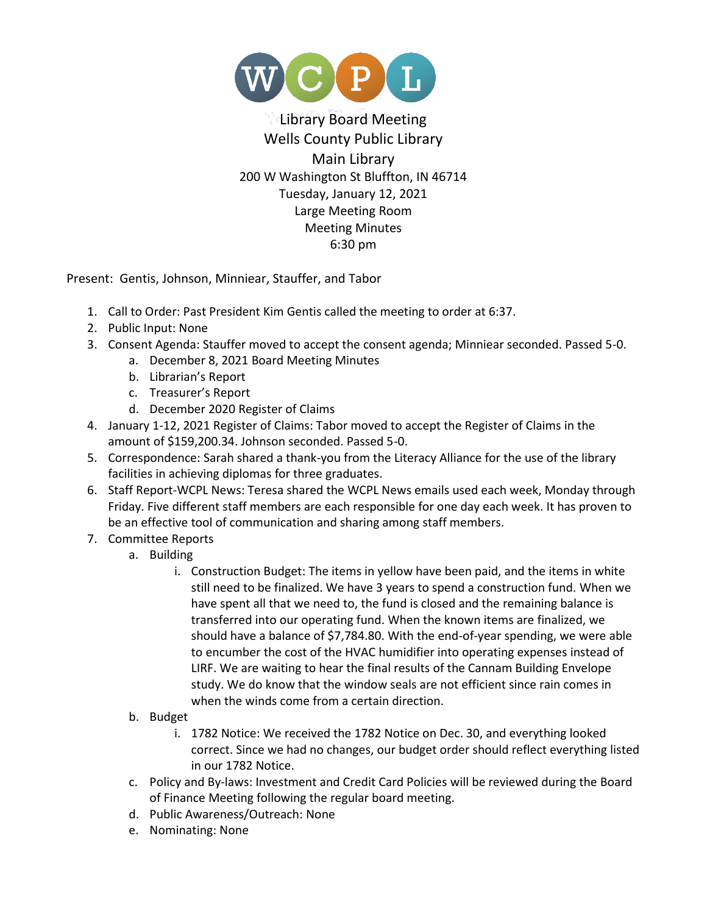

## Library Board Meeting Wells County Public Library Main Library 200 W Washington St Bluffton, IN 46714 Tuesday, January 12, 2021 Large Meeting Room Meeting Minutes 6:30 pm

Present: Gentis, Johnson, Minniear, Stauffer, and Tabor

- 1. Call to Order: Past President Kim Gentis called the meeting to order at 6:37.
- 2. Public Input: None
- 3. Consent Agenda: Stauffer moved to accept the consent agenda; Minniear seconded. Passed 5-0.
	- a. December 8, 2021 Board Meeting Minutes
	- b. Librarian's Report
	- c. Treasurer's Report
	- d. December 2020 Register of Claims
- 4. January 1-12, 2021 Register of Claims: Tabor moved to accept the Register of Claims in the amount of \$159,200.34. Johnson seconded. Passed 5-0.
- 5. Correspondence: Sarah shared a thank-you from the Literacy Alliance for the use of the library facilities in achieving diplomas for three graduates.
- 6. Staff Report-WCPL News: Teresa shared the WCPL News emails used each week, Monday through Friday. Five different staff members are each responsible for one day each week. It has proven to be an effective tool of communication and sharing among staff members.
- 7. Committee Reports
	- a. Building
		- i. Construction Budget: The items in yellow have been paid, and the items in white still need to be finalized. We have 3 years to spend a construction fund. When we have spent all that we need to, the fund is closed and the remaining balance is transferred into our operating fund. When the known items are finalized, we should have a balance of \$7,784.80. With the end-of-year spending, we were able to encumber the cost of the HVAC humidifier into operating expenses instead of LIRF. We are waiting to hear the final results of the Cannam Building Envelope study. We do know that the window seals are not efficient since rain comes in when the winds come from a certain direction.
	- b. Budget
		- i. 1782 Notice: We received the 1782 Notice on Dec. 30, and everything looked correct. Since we had no changes, our budget order should reflect everything listed in our 1782 Notice.
	- c. Policy and By-laws: Investment and Credit Card Policies will be reviewed during the Board of Finance Meeting following the regular board meeting.
	- d. Public Awareness/Outreach: None
	- e. Nominating: None